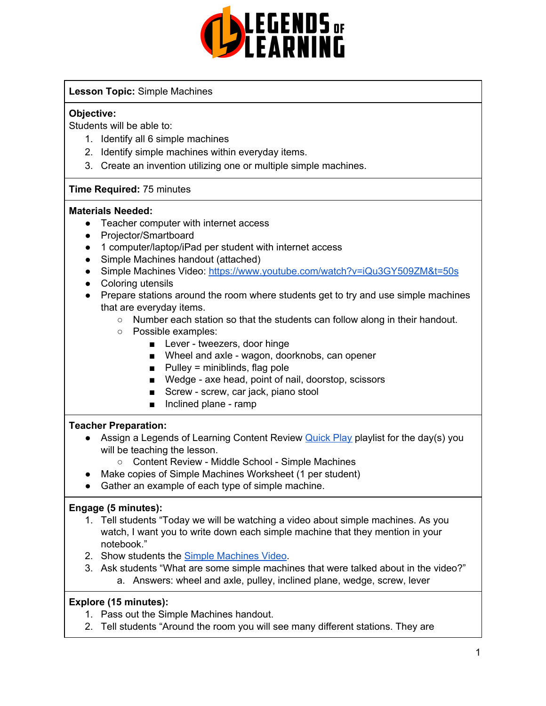

## **Lesson Topic:** Simple Machines

## **Objective:**

Students will be able to:

- 1. Identify all 6 simple machines
- 2. Identify simple machines within everyday items.
- 3. Create an invention utilizing one or multiple simple machines.

## **Time Required:** 75 minutes

#### **Materials Needed:**

- Teacher computer with internet access
- Projector/Smartboard
- 1 computer/laptop/iPad per student with internet access
- Simple Machines handout (attached)
- Simple Machines Video: <https://www.youtube.com/watch?v=iQu3GY509ZM&t=50s>
- Coloring utensils
- Prepare stations around the room where students get to try and use simple machines that are everyday items.
	- Number each station so that the students can follow along in their handout.
	- Possible examples:
		- Lever tweezers, door hinge
		- Wheel and axle wagon, doorknobs, can opener
		- $\blacksquare$  Pulley = miniblinds, flag pole
		- Wedge axe head, point of nail, doorstop, scissors
		- Screw screw, car jack, piano stool
		- Inclined plane ramp

## **Teacher Preparation:**

- Assign a Legends of Learning Content Review **[Quick](https://intercom.help/legends-of-learning/en/articles/2701866-assigning-a-quick-play-playlist) Play playlist for the day(s)** you will be teaching the lesson.
	- Content Review Middle School Simple Machines
- Make copies of Simple Machines Worksheet (1 per student)
- Gather an example of each type of simple machine.

## **Engage (5 minutes):**

- 1. Tell students "Today we will be watching a video about simple machines. As you watch, I want you to write down each simple machine that they mention in your notebook."
- 2. Show students the Simple [Machines](https://www.youtube.com/watch?v=iQu3GY509ZM&t=50s) Video.
- 3. Ask students "What are some simple machines that were talked about in the video?" a. Answers: wheel and axle, pulley, inclined plane, wedge, screw, lever

## **Explore (15 minutes):**

- 1. Pass out the Simple Machines handout.
- 2. Tell students "Around the room you will see many different stations. They are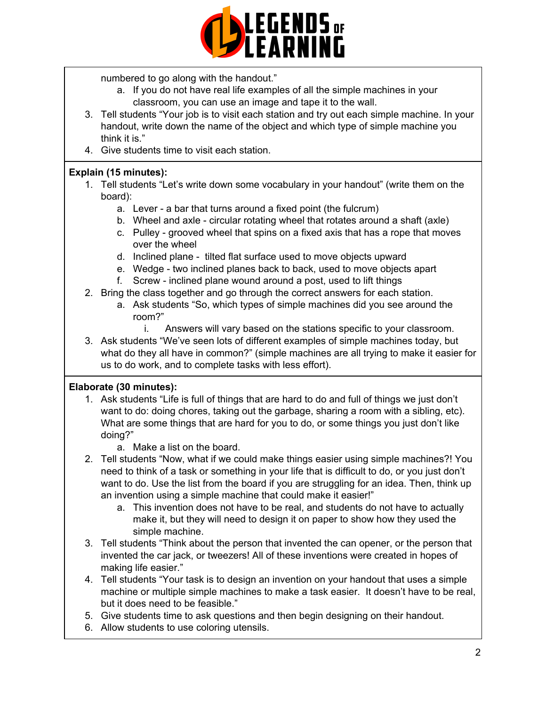

numbered to go along with the handout."

- a. If you do not have real life examples of all the simple machines in your classroom, you can use an image and tape it to the wall.
- 3. Tell students "Your job is to visit each station and try out each simple machine. In your handout, write down the name of the object and which type of simple machine you think it is."
- 4. Give students time to visit each station.

## **Explain (15 minutes):**

- 1. Tell students "Let's write down some vocabulary in your handout" (write them on the board):
	- a. Lever a bar that turns around a fixed point (the fulcrum)
	- b. Wheel and axle circular rotating wheel that rotates around a shaft (axle)
	- c. Pulley grooved wheel that spins on a fixed axis that has a rope that moves over the wheel
	- d. Inclined plane tilted flat surface used to move objects upward
	- e. Wedge two inclined planes back to back, used to move objects apart
	- f. Screw inclined plane wound around a post, used to lift things
- 2. Bring the class together and go through the correct answers for each station.
	- a. Ask students "So, which types of simple machines did you see around the room?"
		- i. Answers will vary based on the stations specific to your classroom.
- 3. Ask students "We've seen lots of different examples of simple machines today, but what do they all have in common?" (simple machines are all trying to make it easier for us to do work, and to complete tasks with less effort).

## **Elaborate (30 minutes):**

- 1. Ask students "Life is full of things that are hard to do and full of things we just don't want to do: doing chores, taking out the garbage, sharing a room with a sibling, etc). What are some things that are hard for you to do, or some things you just don't like doing?"
	- a. Make a list on the board.
- 2. Tell students "Now, what if we could make things easier using simple machines?! You need to think of a task or something in your life that is difficult to do, or you just don't want to do. Use the list from the board if you are struggling for an idea. Then, think up an invention using a simple machine that could make it easier!"
	- a. This invention does not have to be real, and students do not have to actually make it, but they will need to design it on paper to show how they used the simple machine.
- 3. Tell students "Think about the person that invented the can opener, or the person that invented the car jack, or tweezers! All of these inventions were created in hopes of making life easier."
- 4. Tell students "Your task is to design an invention on your handout that uses a simple machine or multiple simple machines to make a task easier. It doesn't have to be real, but it does need to be feasible."
- 5. Give students time to ask questions and then begin designing on their handout.
- 6. Allow students to use coloring utensils.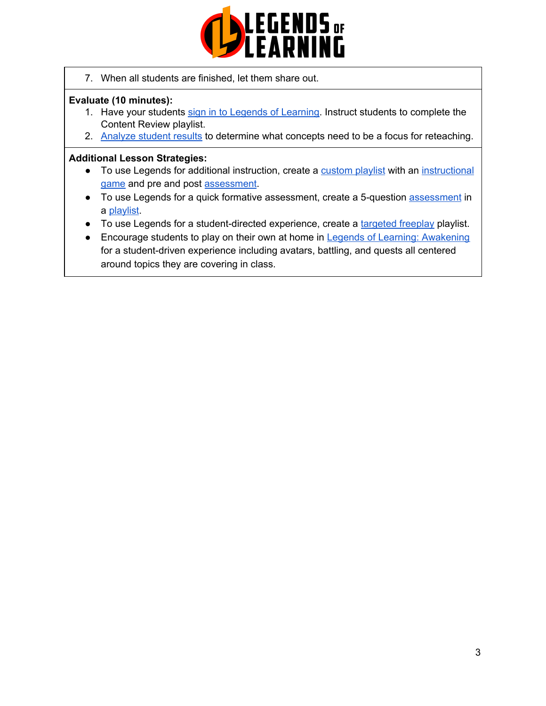

7. When all students are finished, let them share out.

## **Evaluate (10 minutes):**

- 1. Have your students sign in to Legends of [Learning](https://intercom.help/legends-of-learning/en/articles/2154920-students-joining-a-playlist). Instruct students to complete the Content Review playlist.
- 2. [Analyze](https://intercom.help/legends-of-learning/en/articles/2154918-tracking-student-progress-and-performance) student results to determine what concepts need to be a focus for reteaching.

#### **Additional Lesson Strategies:**

- To use Legends for additional instruction, create a [custom](https://intercom.help/legends-of-learning/en/articles/2154910-creating-a-playlist) playlist with an [instructional](https://intercom.help/legends-of-learning/en/articles/3505828-types-of-games) [game](https://intercom.help/legends-of-learning/en/articles/3505828-types-of-games) and pre and post [assessment](https://intercom.help/legends-of-learning/en/articles/2154913-adding-assessments-to-a-playlist).
- To use Legends for a quick formative [assessment](https://intercom.help/legends-of-learning/en/articles/2154913-adding-assessments-to-a-playlist), create a 5-question assessment in a [playlist](https://intercom.help/legends-of-learning/en/articles/2154910-creating-a-playlist).
- To use Legends for a student-directed experience, create a [targeted](https://intercom.help/legends-of-learning/en/articles/3340814-targeted-freeplay) freeplay playlist.
- Encourage students to play on their own at home in Legends of Learning: [Awakening](https://intercom.help/legends-of-learning/en/articles/2425490-legends-of-learning-awakening) for a student-driven experience including avatars, battling, and quests all centered around topics they are covering in class.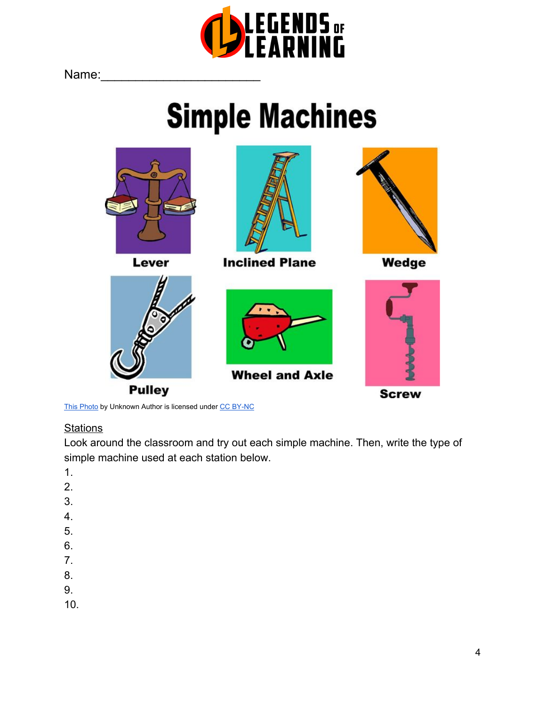

Name:

# **Simple Machines**





**Inclined Plane** 



**Wheel and Axle** 



Wedge



This [Photo](http://neruskita.blogspot.com/p/science-5.html) by Unknown Author is licensed under [C](https://creativecommons.org/licenses/by-nc/3.0/)C [BY-NC](https://creativecommons.org/licenses/by-nc/3.0/)

**Pulley** 

## **Stations**

Look around the classroom and try out each simple machine. Then, write the type of simple machine used at each station below.

- 1.
- 2.
- 
- 3.
- 4.
- 5.
- 6.
- 7.
- 8.
- 
- 9.
- 10.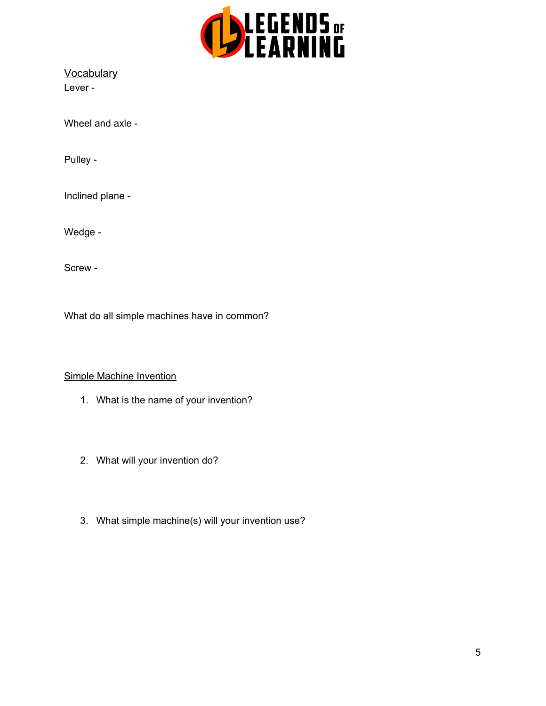

**Vocabulary** Lever -

Wheel and axle -

Pulley -

Inclined plane -

Wedge -

Screw -

What do all simple machines have in common?

### Simple Machine Invention

- 1. What is the name of your invention?
- 2. What will your invention do?
- 3. What simple machine(s) will your invention use?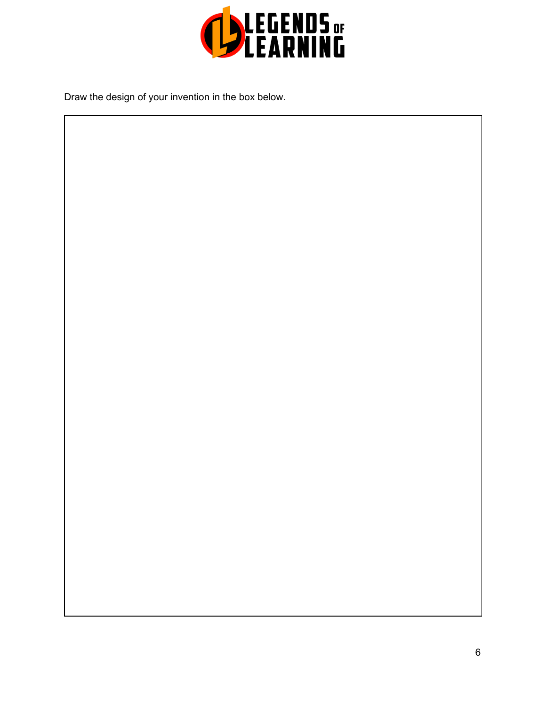

Draw the design of your invention in the box below.